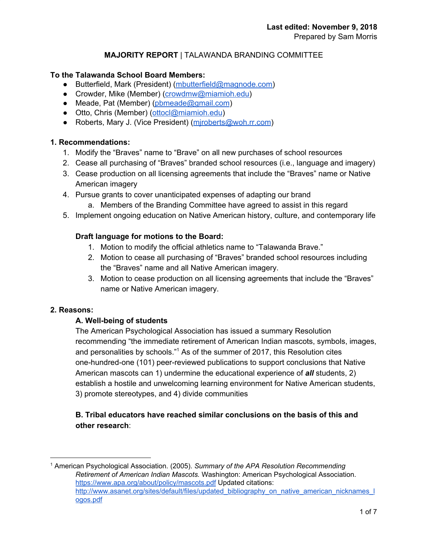## **MAJORITY REPORT** | TALAWANDA BRANDING COMMITTEE

#### **To the Talawanda School Board Members:**

- Butterfield, Mark (President) [\(mbutterfield@magnode.com\)](mailto:mbutterfield@magnode.com)
- Crowder, Mike (Member) [\(crowdmw@miamioh.edu\)](mailto:crowdmw@miamioh.edu)
- Meade, Pat (Member) [\(pbmeade@gmail.com](mailto:pbmeade@gmail.com))
- Otto, Chris (Member) ([ottocl@miamioh.edu](mailto:ottocl@miamioh.edu))
- Roberts, Mary J. (Vice President) (miroberts@woh.rr.com)

#### **1. Recommendations:**

- 1. Modify the "Braves" name to "Brave" on all new purchases of school resources
- 2. Cease all purchasing of "Braves" branded school resources (i.e., language and imagery)
- 3. Cease production on all licensing agreements that include the "Braves" name or Native American imagery
- 4. Pursue grants to cover unanticipated expenses of adapting our brand
	- a. Members of the Branding Committee have agreed to assist in this regard
- 5. Implement ongoing education on Native American history, culture, and contemporary life

#### **Draft language for motions to the Board:**

- 1. Motion to modify the official athletics name to "Talawanda Brave."
- 2. Motion to cease all purchasing of "Braves" branded school resources including the "Braves" name and all Native American imagery.
- 3. Motion to cease production on all licensing agreements that include the "Braves" name or Native American imagery.

#### **2. Reasons:**

## **A. Well-being of students**

The American Psychological Association has issued a summary Resolution recommending "the immediate retirement of American Indian mascots, symbols, images, and personalities by schools." $1$  As of the summer of 2017, this Resolution cites one-hundred-one (101) peer-reviewed publications to support conclusions that Native American mascots can 1) undermine the educational experience of *all* students, 2) establish a hostile and unwelcoming learning environment for Native American students, 3) promote stereotypes, and 4) divide communities

## **B. Tribal educators have reached similar conclusions on the basis of this and other research**:

<sup>1</sup> American Psychological Association. (2005). *Summary of the APA Resolution Recommending Retirement of American Indian Mascots.* Washington: American Psychological Association. <https://www.apa.org/about/policy/mascots.pdf> Updated citations: [http://www.asanet.org/sites/default/files/updated\\_bibliography\\_on\\_native\\_american\\_nicknames\\_l](http://www.asanet.org/sites/default/files/updated_bibliography_on_native_american_nicknames_logos.pdf) [ogos.pdf](http://www.asanet.org/sites/default/files/updated_bibliography_on_native_american_nicknames_logos.pdf)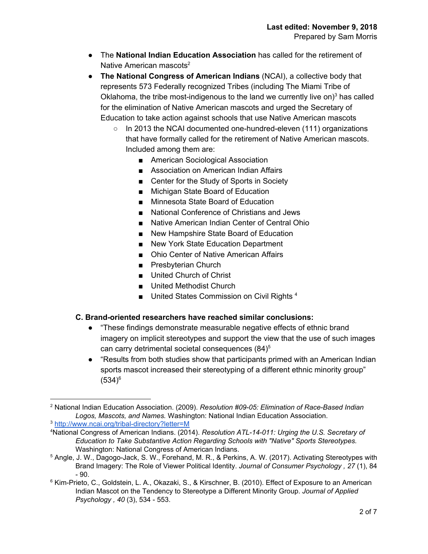- The **National Indian Education Association** has called for the retirement of Native American mascots<sup>2</sup>
- **The National Congress of American Indians** (NCAI), a collective body that represents 573 Federally recognized Tribes (including The Miami Tribe of Oklahoma, the tribe most-indigenous to the land we currently live on) $3$  has called for the elimination of Native American mascots and urged the Secretary of Education to take action against schools that use Native American mascots
	- In 2013 the NCAI documented one-hundred-eleven (111) organizations that have formally called for the retirement of Native American mascots. Included among them are:
		- American Sociological Association
		- Association on American Indian Affairs
		- Center for the Study of Sports in Society
		- Michigan State Board of Education
		- Minnesota State Board of Education
		- National Conference of Christians and Jews
		- Native American Indian Center of Central Ohio
		- New Hampshire State Board of Education
		- New York State Education Department
		- Ohio Center of Native American Affairs
		- Presbyterian Church
		- United Church of Christ
		- United Methodist Church
		- **■** United States Commission on Civil Rights  $4$

## **C. Brand-oriented researchers have reached similar conclusions:**

- "These findings demonstrate measurable negative effects of ethnic brand imagery on implicit stereotypes and support the view that the use of such images can carry detrimental societal consequences (84) 5
- "Results from both studies show that participants primed with an American Indian sports mascot increased their stereotyping of a different ethnic minority group"  $(534)^6$

<sup>2</sup> National Indian Education Association. (2009). *Resolution #09-05: Elimination of Race-Based Indian Logos, Mascots, and Names.* Washington: National Indian Education Association.

<sup>3</sup> <http://www.ncai.org/tribal-directory?letter=M>

<sup>4</sup>National Congress of American Indians. (2014). *Resolution ATL-14-011: Urging the U.S. Secretary of Education to Take Substantive Action Regarding Schools with "Native" Sports Stereotypes.* Washington: National Congress of American Indians.

<sup>5</sup> Angle, J. W., Dagogo-Jack, S. W., Forehand, M. R., & Perkins, A. W. (2017). Activating Stereotypes with Brand Imagery: The Role of Viewer Political Identity. *Journal of Consumer Psychology , 27* (1), 84 - 90.

<sup>6</sup> Kim-Prieto, C., Goldstein, L. A., Okazaki, S., & Kirschner, B. (2010). Effect of Exposure to an American Indian Mascot on the Tendency to Stereotype a Different Minority Group. *Journal of Applied Psychology , 40* (3), 534 - 553.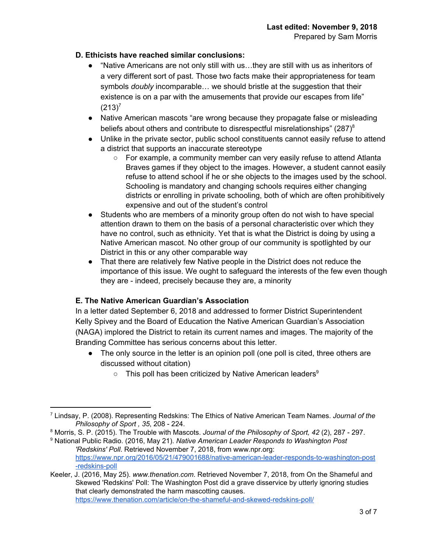## **D. Ethicists have reached similar conclusions:**

- "Native Americans are not only still with us…they are still with us as inheritors of a very different sort of past. Those two facts make their appropriateness for team symbols *doubly* incomparable… we should bristle at the suggestion that their existence is on a par with the amusements that provide our escapes from life"  $(213)^7$
- Native American mascots "are wrong because they propagate false or misleading beliefs about others and contribute to disrespectful misrelationships" (287) $^8$
- Unlike in the private sector, public school constituents cannot easily refuse to attend a district that supports an inaccurate stereotype
	- $\circ$  For example, a community member can very easily refuse to attend Atlanta Braves games if they object to the images. However, a student cannot easily refuse to attend school if he or she objects to the images used by the school. Schooling is mandatory and changing schools requires either changing districts or enrolling in private schooling, both of which are often prohibitively expensive and out of the student's control
- Students who are members of a minority group often do not wish to have special attention drawn to them on the basis of a personal characteristic over which they have no control, such as ethnicity. Yet that is what the District is doing by using a Native American mascot. No other group of our community is spotlighted by our District in this or any other comparable way
- That there are relatively few Native people in the District does not reduce the importance of this issue. We ought to safeguard the interests of the few even though they are - indeed, precisely because they are, a minority

## **E. The Native American Guardian's Association**

In a letter dated September 6, 2018 and addressed to former District Superintendent Kelly Spivey and the Board of Education the Native American Guardian's Association (NAGA) implored the District to retain its current names and images. The majority of the Branding Committee has serious concerns about this letter.

- The only source in the letter is an opinion poll (one poll is cited, three others are discussed without citation)
	- $\circ$  This poll has been criticized by Native American leaders<sup>9</sup>

<sup>9</sup> National Public Radio. (2016, May 21). *Native American Leader Responds to Washington Post 'Redskins' Poll*. Retrieved November 7, 2018, from www.npr.org: [https://www.npr.org/2016/05/21/479001688/native-american-leader-responds-to-washington-post](https://www.npr.org/2016/05/21/479001688/native-american-leader-responds-to-washington-post-redskins-poll) [-redskins-poll](https://www.npr.org/2016/05/21/479001688/native-american-leader-responds-to-washington-post-redskins-poll)

<sup>7</sup> Lindsay, P. (2008). Representing Redskins: The Ethics of Native American Team Names. *Journal of the Philosophy of Sport , 35*, 208 - 224.

<sup>8</sup> Morris, S. P. (2015). The Trouble with Mascots. *Journal of the Philosophy of Sport, 42* (2), 287 - 297.

Keeler, J. (2016, May 25). *www.thenation.com*. Retrieved November 7, 2018, from On the Shameful and Skewed 'Redskins' Poll: The Washington Post did a grave disservice by utterly ignoring studies that clearly demonstrated the harm mascotting causes. <https://www.thenation.com/article/on-the-shameful-and-skewed-redskins-poll/>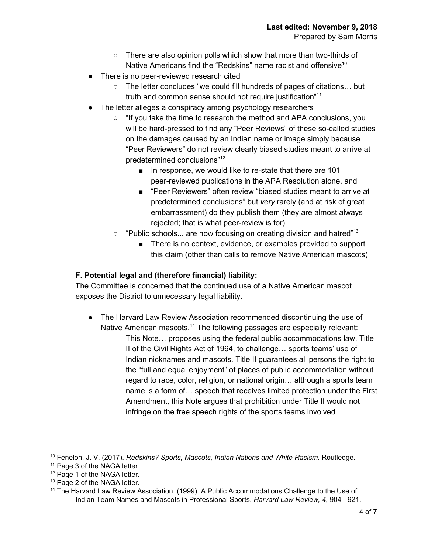- There are also opinion polls which show that more than two-thirds of Native Americans find the "Redskins" name racist and offensive<sup>10</sup>
- There is no peer-reviewed research cited
	- The letter concludes "we could fill hundreds of pages of citations… but truth and common sense should not require justification"<sup>11</sup>
- The letter alleges a conspiracy among psychology researchers
	- "If you take the time to research the method and APA conclusions, you will be hard-pressed to find any "Peer Reviews" of these so-called studies on the damages caused by an Indian name or image simply because "Peer Reviewers" do not review clearly biased studies meant to arrive at predetermined conclusions" 12
		- In response, we would like to re-state that there are 101 peer-reviewed publications in the APA Resolution alone, and
		- "Peer Reviewers" often review "biased studies meant to arrive at predetermined conclusions" but *very* rarely (and at risk of great embarrassment) do they publish them (they are almost always rejected; that is what peer-review is for)
	- $\circ$  "Public schools... are now focusing on creating division and hatred"<sup>13</sup>
		- There is no context, evidence, or examples provided to support this claim (other than calls to remove Native American mascots)

# **F. Potential legal and (therefore financial) liability:**

The Committee is concerned that the continued use of a Native American mascot exposes the District to unnecessary legal liability.

● The Harvard Law Review Association recommended discontinuing the use of Native American mascots.<sup>14</sup> The following passages are especially relevant: This Note… proposes using the federal public accommodations law, Title II of the Civil Rights Act of 1964, to challenge… sports teams' use of Indian nicknames and mascots. Title II guarantees all persons the right to the "full and equal enjoyment" of places of public accommodation without regard to race, color, religion, or national origin… although a sports team name is a form of… speech that receives limited protection under the First Amendment, this Note argues that prohibition under Title II would not infringe on the free speech rights of the sports teams involved

<sup>10</sup> Fenelon, J. V. (2017). *Redskins? Sports, Mascots, Indian Nations and White Racism.* Routledge.

<sup>&</sup>lt;sup>11</sup> Page 3 of the NAGA letter.

<sup>&</sup>lt;sup>12</sup> Page 1 of the NAGA letter.

<sup>&</sup>lt;sup>13</sup> Page 2 of the NAGA letter.

<sup>&</sup>lt;sup>14</sup> The Harvard Law Review Association. (1999). A Public Accommodations Challenge to the Use of Indian Team Names and Mascots in Professional Sports. *Harvard Law Review, 4*, 904 - 921.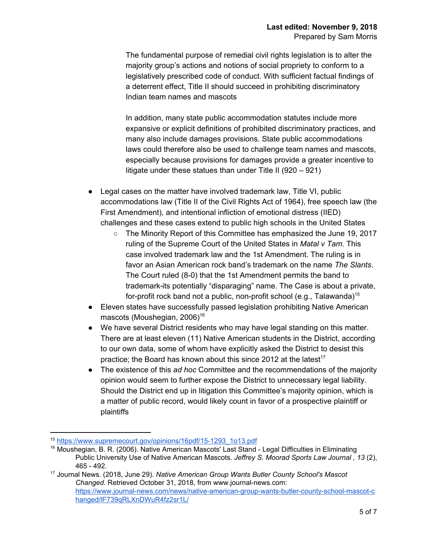The fundamental purpose of remedial civil rights legislation is to alter the majority group's actions and notions of social propriety to conform to a legislatively prescribed code of conduct. With sufficient factual findings of a deterrent effect, Title II should succeed in prohibiting discriminatory Indian team names and mascots

In addition, many state public accommodation statutes include more expansive or explicit definitions of prohibited discriminatory practices, and many also include damages provisions. State public accommodations laws could therefore also be used to challenge team names and mascots, especially because provisions for damages provide a greater incentive to litigate under these statues than under Title II (920 – 921)

- Legal cases on the matter have involved trademark law, Title VI, public accommodations law (Title II of the Civil Rights Act of 1964), free speech law (the First Amendment), and intentional infliction of emotional distress (IIED) challenges and these cases extend to public high schools in the United States
	- The Minority Report of this Committee has emphasized the June 19, 2017 ruling of the Supreme Court of the United States in *Matal v Tam*. This case involved trademark law and the 1st Amendment. The ruling is in favor an Asian American rock band's trademark on the name *The Slants*. The Court ruled (8-0) that the 1st Amendment permits the band to trademark its potentially "disparaging" name. The Case is about a private, for-profit rock band not a public, non-profit school (e.g., Talawanda)<sup>15</sup>
- Eleven states have successfully passed legislation prohibiting Native American mascots (Moushegian, 2006) 16
- We have several District residents who may have legal standing on this matter. There are at least eleven (11) Native American students in the District, according to our own data, some of whom have explicitly asked the District to desist this practice; the Board has known about this since 2012 at the latest<sup>17</sup>
- The existence of this *ad hoc* Committee and the recommendations of the majority opinion would seem to further expose the District to unnecessary legal liability. Should the District end up in litigation this Committee's majority opinion, which is a matter of public record, would likely count in favor of a prospective plaintiff or plaintiffs

<sup>15</sup> [https://www.supremecourt.gov/opinions/16pdf/15-1293\\_1o13.pdf](https://www.supremecourt.gov/opinions/16pdf/15-1293_1o13.pdf)

<sup>&</sup>lt;sup>16</sup> Moushegian, B. R. (2006). Native American Mascots' Last Stand - Legal Difficulties in Eliminating Public University Use of Native American Mascots. *Jeffrey S. Moorad Sports Law Journal , 13* (2), 465 - 492.

<sup>17</sup> Journal News. (2018, June 29). *Native American Group Wants Butler County School's Mascot Changed*. Retrieved October 31, 2018, from www.journal-news.com: [https://www.journal-news.com/news/native-american-group-wants-butler-county-school-mascot-c](https://www.journal-news.com/news/native-american-group-wants-butler-county-school-mascot-changed/lF739qRLXnDWuR4fz2sr1L/) [hanged/lF739qRLXnDWuR4fz2sr1L/](https://www.journal-news.com/news/native-american-group-wants-butler-county-school-mascot-changed/lF739qRLXnDWuR4fz2sr1L/)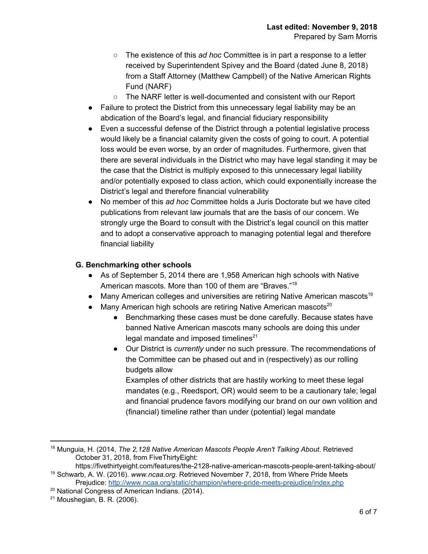- The existence of this *ad hoc* Committee is in part a response to a letter received by Superintendent Spivey and the Board (dated June 8, 2018) from a Staff Attorney (Matthew Campbell) of the Native American Rights Fund (NARF)
- $\circ$  The NARF letter is well-documented and consistent with our Report
- Failure to protect the District from this unnecessary legal liability may be an abdication of the Board's legal, and financial fiduciary responsibility
- Even a successful defense of the District through a potential legislative process would likely be a financial calamity given the costs of going to court. A potential loss would be even worse, by an order of magnitudes. Furthermore, given that there are several individuals in the District who may have legal standing it may be the case that the District is multiply exposed to this unnecessary legal liability and/or potentially exposed to class action, which could exponentially increase the District's legal and therefore financial vulnerability
- No member of this *ad hoc* Committee holds a Juris Doctorate but we have cited publications from relevant law journals that are the basis of our concern. We strongly urge the Board to consult with the District's legal council on this matter and to adopt a conservative approach to managing potential legal and therefore financial liability

#### **G. Benchmarking other schools**

- As of September 5, 2014 there are 1,958 American high schools with Native American mascots. More than 100 of them are "Braves."<sup>18</sup>
- Many American colleges and universities are retiring Native American mascots<sup>19</sup>
- Many American high schools are retiring Native American mascots $^{20}$ 
	- Benchmarking these cases must be done carefully. Because states have banned Native American mascots many schools are doing this under legal mandate and imposed timelines $^{21}$
	- Our District is *currently* under no such pressure. The recommendations of the Committee can be phased out and in (respectively) as our rolling budgets allow

Examples of other districts that are hastily working to meet these legal mandates (e.g., Reedsport, OR) would seem to be a cautionary tale; legal and financial prudence favors modifying our brand on our own volition and (financial) timeline rather than under (potential) legal mandate

<sup>18</sup> Munguia, H. (2014, *The 2,128 Native American Mascots People Aren't Talking About*. Retrieved October 31, 2018, from FiveThirtyEight:

https://fivethirtyeight.com/features/the-2128-native-american-mascots-people-arent-talking-about/ <sup>19</sup> Schwarb, A. W. (2016). *www.ncaa.org*. Retrieved November 7, 2018, from Where Pride Meets

Prejudice: <http://www.ncaa.org/static/champion/where-pride-meets-prejudice/index.php>

<sup>&</sup>lt;sup>20</sup> National Congress of American Indians. (2014).

<sup>21</sup> Moushegian, B. R. (2006).